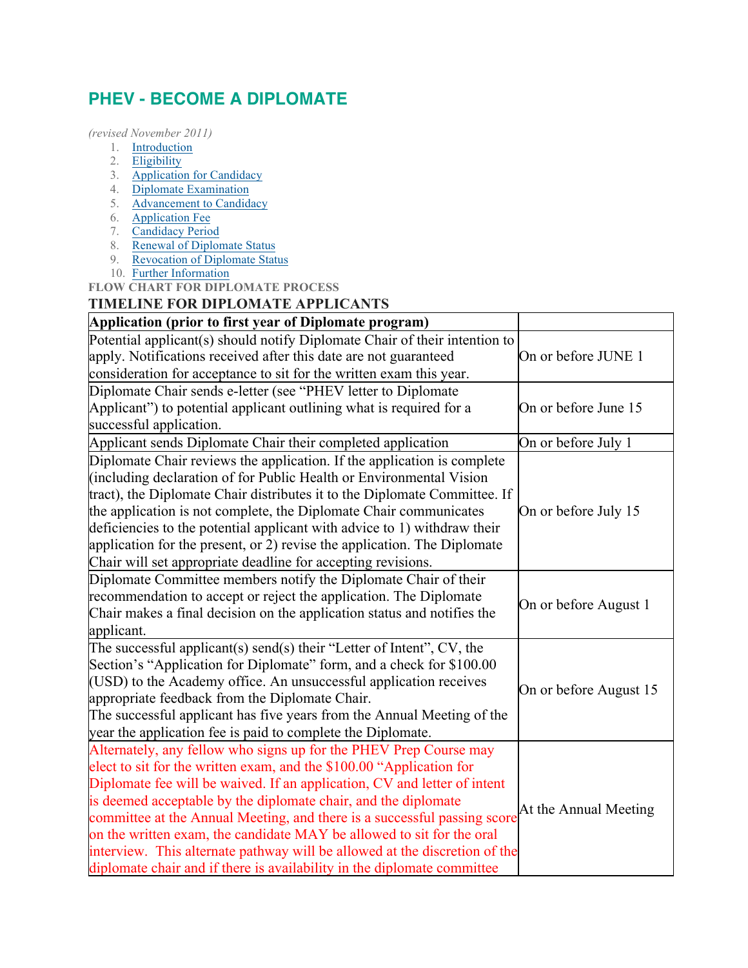# **PHEV - BECOME A DIPLOMATE**

*(revised November 2011)*

- 1. Introduction
- 2. Eligibility
- 3. Application for Candidacy
- 4. Diplomate Examination
- 5. Advancement to Candidacy
- 6. Application Fee
- 7. Candidacy Period
- 8. Renewal of Diplomate Status
- 9. Revocation of Diplomate Status
- 10. Further Information

**FLOW CHART FOR DIPLOMATE PROCESS**

### **TIMELINE FOR DIPLOMATE APPLICANTS**

## **Application (prior to first year of Diplomate program)**

| Application (prior to first year of Diplomate program)                                                                                                                                                                                                                                                                                                                                                                                                                                                                                                                                                |                        |
|-------------------------------------------------------------------------------------------------------------------------------------------------------------------------------------------------------------------------------------------------------------------------------------------------------------------------------------------------------------------------------------------------------------------------------------------------------------------------------------------------------------------------------------------------------------------------------------------------------|------------------------|
| Potential applicant(s) should notify Diplomate Chair of their intention to<br>apply. Notifications received after this date are not guaranteed<br>consideration for acceptance to sit for the written exam this year.                                                                                                                                                                                                                                                                                                                                                                                 | On or before JUNE 1    |
| Diplomate Chair sends e-letter (see "PHEV letter to Diplomate<br>Applicant") to potential applicant outlining what is required for a<br>successful application.                                                                                                                                                                                                                                                                                                                                                                                                                                       | On or before June 15   |
| Applicant sends Diplomate Chair their completed application                                                                                                                                                                                                                                                                                                                                                                                                                                                                                                                                           | On or before July 1    |
| Diplomate Chair reviews the application. If the application is complete<br>including declaration of for Public Health or Environmental Vision<br>tract), the Diplomate Chair distributes it to the Diplomate Committee. If<br>the application is not complete, the Diplomate Chair communicates<br>deficiencies to the potential applicant with advice to 1) withdraw their<br>application for the present, or 2) revise the application. The Diplomate<br>Chair will set appropriate deadline for accepting revisions.                                                                               | On or before July 15   |
| Diplomate Committee members notify the Diplomate Chair of their<br>recommendation to accept or reject the application. The Diplomate<br>Chair makes a final decision on the application status and notifies the<br>applicant.                                                                                                                                                                                                                                                                                                                                                                         | On or before August 1  |
| The successful applicant(s) send(s) their "Letter of Intent", $CV$ , the<br>Section's "Application for Diplomate" form, and a check for \$100.00<br>(USD) to the Academy office. An unsuccessful application receives<br>appropriate feedback from the Diplomate Chair.<br>The successful applicant has five years from the Annual Meeting of the<br>year the application fee is paid to complete the Diplomate.                                                                                                                                                                                      | On or before August 15 |
| Alternately, any fellow who signs up for the PHEV Prep Course may<br>elect to sit for the written exam, and the \$100.00 "Application for<br>Diplomate fee will be waived. If an application, CV and letter of intent<br>is deemed acceptable by the diplomate chair, and the diplomate<br>committee at the Annual Meeting, and there is a successful passing score<br>on the written exam, the candidate MAY be allowed to sit for the oral<br>interview. This alternate pathway will be allowed at the discretion of the<br>diplomate chair and if there is availability in the diplomate committee | At the Annual Meeting  |

 $\overline{\phantom{a}}$ 

 $\overline{\phantom{a}}$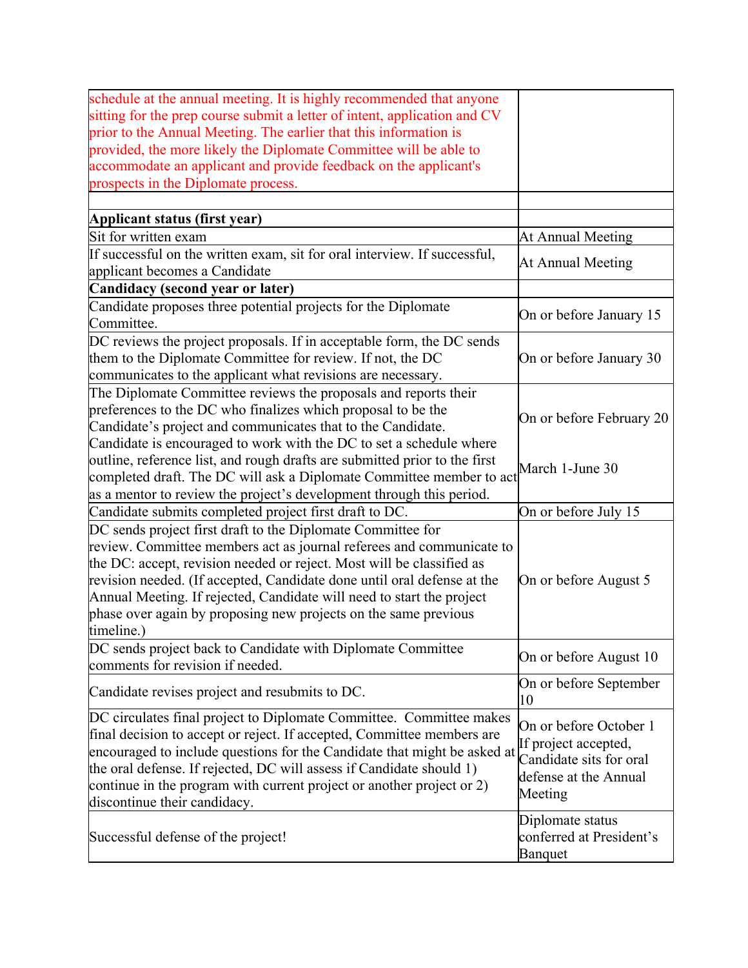| prior to the Annual Meeting. The earlier that this information is<br>provided, the more likely the Diplomate Committee will be able to<br>At Annual Meeting<br>If successful on the written exam, sit for oral interview. If successful,<br>At Annual Meeting<br>applicant becomes a Candidate<br>Candidacy (second year or later)<br>Candidate proposes three potential projects for the Diplomate<br>On or before January 15<br>Committee.<br>DC reviews the project proposals. If in acceptable form, the DC sends<br>them to the Diplomate Committee for review. If not, the DC<br>On or before January 30<br>communicates to the applicant what revisions are necessary.<br>The Diplomate Committee reviews the proposals and reports their<br>preferences to the DC who finalizes which proposal to be the<br>On or before February 20<br>Candidate's project and communicates that to the Candidate.<br>Candidate is encouraged to work with the DC to set a schedule where<br>outline, reference list, and rough drafts are submitted prior to the first<br>March 1-June 30<br>completed draft. The DC will ask a Diplomate Committee member to act<br>as a mentor to review the project's development through this period.<br>Candidate submits completed project first draft to DC.<br>On or before July 15<br>DC sends project first draft to the Diplomate Committee for<br>review. Committee members act as journal referees and communicate to<br>the DC: accept, revision needed or reject. Most will be classified as<br>revision needed. (If accepted, Candidate done until oral defense at the<br>On or before August 5<br>Annual Meeting. If rejected, Candidate will need to start the project<br>phase over again by proposing new projects on the same previous<br>timeline.)<br>DC sends project back to Candidate with Diplomate Committee<br>On or before August 10<br>comments for revision if needed.<br>On or before September<br>Candidate revises project and resubmits to DC.<br>10<br>DC circulates final project to Diplomate Committee. Committee makes<br>On or before October 1<br>final decision to accept or reject. If accepted, Committee members are<br>If project accepted,<br>encouraged to include questions for the Candidate that might be asked at<br>Candidate sits for oral<br>the oral defense. If rejected, DC will assess if Candidate should 1)<br>defense at the Annual<br>continue in the program with current project or another project or 2)<br>Meeting<br>discontinue their candidacy.<br>Diplomate status<br>conferred at President's<br><b>Banquet</b> |                                                                           |  |
|---------------------------------------------------------------------------------------------------------------------------------------------------------------------------------------------------------------------------------------------------------------------------------------------------------------------------------------------------------------------------------------------------------------------------------------------------------------------------------------------------------------------------------------------------------------------------------------------------------------------------------------------------------------------------------------------------------------------------------------------------------------------------------------------------------------------------------------------------------------------------------------------------------------------------------------------------------------------------------------------------------------------------------------------------------------------------------------------------------------------------------------------------------------------------------------------------------------------------------------------------------------------------------------------------------------------------------------------------------------------------------------------------------------------------------------------------------------------------------------------------------------------------------------------------------------------------------------------------------------------------------------------------------------------------------------------------------------------------------------------------------------------------------------------------------------------------------------------------------------------------------------------------------------------------------------------------------------------------------------------------------------------------------------------------------------------------------------------------------------------------------------------------------------------------------------------------------------------------------------------------------------------------------------------------------------------------------------------------------------------------------------------------------------------------------------------------------------------------------------------------------------------------------------------------------------------------------------------------------------------|---------------------------------------------------------------------------|--|
|                                                                                                                                                                                                                                                                                                                                                                                                                                                                                                                                                                                                                                                                                                                                                                                                                                                                                                                                                                                                                                                                                                                                                                                                                                                                                                                                                                                                                                                                                                                                                                                                                                                                                                                                                                                                                                                                                                                                                                                                                                                                                                                                                                                                                                                                                                                                                                                                                                                                                                                                                                                                                     | schedule at the annual meeting. It is highly recommended that anyone      |  |
|                                                                                                                                                                                                                                                                                                                                                                                                                                                                                                                                                                                                                                                                                                                                                                                                                                                                                                                                                                                                                                                                                                                                                                                                                                                                                                                                                                                                                                                                                                                                                                                                                                                                                                                                                                                                                                                                                                                                                                                                                                                                                                                                                                                                                                                                                                                                                                                                                                                                                                                                                                                                                     | sitting for the prep course submit a letter of intent, application and CV |  |
|                                                                                                                                                                                                                                                                                                                                                                                                                                                                                                                                                                                                                                                                                                                                                                                                                                                                                                                                                                                                                                                                                                                                                                                                                                                                                                                                                                                                                                                                                                                                                                                                                                                                                                                                                                                                                                                                                                                                                                                                                                                                                                                                                                                                                                                                                                                                                                                                                                                                                                                                                                                                                     |                                                                           |  |
|                                                                                                                                                                                                                                                                                                                                                                                                                                                                                                                                                                                                                                                                                                                                                                                                                                                                                                                                                                                                                                                                                                                                                                                                                                                                                                                                                                                                                                                                                                                                                                                                                                                                                                                                                                                                                                                                                                                                                                                                                                                                                                                                                                                                                                                                                                                                                                                                                                                                                                                                                                                                                     |                                                                           |  |
|                                                                                                                                                                                                                                                                                                                                                                                                                                                                                                                                                                                                                                                                                                                                                                                                                                                                                                                                                                                                                                                                                                                                                                                                                                                                                                                                                                                                                                                                                                                                                                                                                                                                                                                                                                                                                                                                                                                                                                                                                                                                                                                                                                                                                                                                                                                                                                                                                                                                                                                                                                                                                     | accommodate an applicant and provide feedback on the applicant's          |  |
|                                                                                                                                                                                                                                                                                                                                                                                                                                                                                                                                                                                                                                                                                                                                                                                                                                                                                                                                                                                                                                                                                                                                                                                                                                                                                                                                                                                                                                                                                                                                                                                                                                                                                                                                                                                                                                                                                                                                                                                                                                                                                                                                                                                                                                                                                                                                                                                                                                                                                                                                                                                                                     | prospects in the Diplomate process.                                       |  |
|                                                                                                                                                                                                                                                                                                                                                                                                                                                                                                                                                                                                                                                                                                                                                                                                                                                                                                                                                                                                                                                                                                                                                                                                                                                                                                                                                                                                                                                                                                                                                                                                                                                                                                                                                                                                                                                                                                                                                                                                                                                                                                                                                                                                                                                                                                                                                                                                                                                                                                                                                                                                                     |                                                                           |  |
|                                                                                                                                                                                                                                                                                                                                                                                                                                                                                                                                                                                                                                                                                                                                                                                                                                                                                                                                                                                                                                                                                                                                                                                                                                                                                                                                                                                                                                                                                                                                                                                                                                                                                                                                                                                                                                                                                                                                                                                                                                                                                                                                                                                                                                                                                                                                                                                                                                                                                                                                                                                                                     | Applicant status (first year)                                             |  |
|                                                                                                                                                                                                                                                                                                                                                                                                                                                                                                                                                                                                                                                                                                                                                                                                                                                                                                                                                                                                                                                                                                                                                                                                                                                                                                                                                                                                                                                                                                                                                                                                                                                                                                                                                                                                                                                                                                                                                                                                                                                                                                                                                                                                                                                                                                                                                                                                                                                                                                                                                                                                                     | Sit for written exam                                                      |  |
|                                                                                                                                                                                                                                                                                                                                                                                                                                                                                                                                                                                                                                                                                                                                                                                                                                                                                                                                                                                                                                                                                                                                                                                                                                                                                                                                                                                                                                                                                                                                                                                                                                                                                                                                                                                                                                                                                                                                                                                                                                                                                                                                                                                                                                                                                                                                                                                                                                                                                                                                                                                                                     |                                                                           |  |
|                                                                                                                                                                                                                                                                                                                                                                                                                                                                                                                                                                                                                                                                                                                                                                                                                                                                                                                                                                                                                                                                                                                                                                                                                                                                                                                                                                                                                                                                                                                                                                                                                                                                                                                                                                                                                                                                                                                                                                                                                                                                                                                                                                                                                                                                                                                                                                                                                                                                                                                                                                                                                     |                                                                           |  |
|                                                                                                                                                                                                                                                                                                                                                                                                                                                                                                                                                                                                                                                                                                                                                                                                                                                                                                                                                                                                                                                                                                                                                                                                                                                                                                                                                                                                                                                                                                                                                                                                                                                                                                                                                                                                                                                                                                                                                                                                                                                                                                                                                                                                                                                                                                                                                                                                                                                                                                                                                                                                                     |                                                                           |  |
|                                                                                                                                                                                                                                                                                                                                                                                                                                                                                                                                                                                                                                                                                                                                                                                                                                                                                                                                                                                                                                                                                                                                                                                                                                                                                                                                                                                                                                                                                                                                                                                                                                                                                                                                                                                                                                                                                                                                                                                                                                                                                                                                                                                                                                                                                                                                                                                                                                                                                                                                                                                                                     |                                                                           |  |
|                                                                                                                                                                                                                                                                                                                                                                                                                                                                                                                                                                                                                                                                                                                                                                                                                                                                                                                                                                                                                                                                                                                                                                                                                                                                                                                                                                                                                                                                                                                                                                                                                                                                                                                                                                                                                                                                                                                                                                                                                                                                                                                                                                                                                                                                                                                                                                                                                                                                                                                                                                                                                     |                                                                           |  |
|                                                                                                                                                                                                                                                                                                                                                                                                                                                                                                                                                                                                                                                                                                                                                                                                                                                                                                                                                                                                                                                                                                                                                                                                                                                                                                                                                                                                                                                                                                                                                                                                                                                                                                                                                                                                                                                                                                                                                                                                                                                                                                                                                                                                                                                                                                                                                                                                                                                                                                                                                                                                                     |                                                                           |  |
|                                                                                                                                                                                                                                                                                                                                                                                                                                                                                                                                                                                                                                                                                                                                                                                                                                                                                                                                                                                                                                                                                                                                                                                                                                                                                                                                                                                                                                                                                                                                                                                                                                                                                                                                                                                                                                                                                                                                                                                                                                                                                                                                                                                                                                                                                                                                                                                                                                                                                                                                                                                                                     |                                                                           |  |
|                                                                                                                                                                                                                                                                                                                                                                                                                                                                                                                                                                                                                                                                                                                                                                                                                                                                                                                                                                                                                                                                                                                                                                                                                                                                                                                                                                                                                                                                                                                                                                                                                                                                                                                                                                                                                                                                                                                                                                                                                                                                                                                                                                                                                                                                                                                                                                                                                                                                                                                                                                                                                     |                                                                           |  |
|                                                                                                                                                                                                                                                                                                                                                                                                                                                                                                                                                                                                                                                                                                                                                                                                                                                                                                                                                                                                                                                                                                                                                                                                                                                                                                                                                                                                                                                                                                                                                                                                                                                                                                                                                                                                                                                                                                                                                                                                                                                                                                                                                                                                                                                                                                                                                                                                                                                                                                                                                                                                                     |                                                                           |  |
|                                                                                                                                                                                                                                                                                                                                                                                                                                                                                                                                                                                                                                                                                                                                                                                                                                                                                                                                                                                                                                                                                                                                                                                                                                                                                                                                                                                                                                                                                                                                                                                                                                                                                                                                                                                                                                                                                                                                                                                                                                                                                                                                                                                                                                                                                                                                                                                                                                                                                                                                                                                                                     |                                                                           |  |
|                                                                                                                                                                                                                                                                                                                                                                                                                                                                                                                                                                                                                                                                                                                                                                                                                                                                                                                                                                                                                                                                                                                                                                                                                                                                                                                                                                                                                                                                                                                                                                                                                                                                                                                                                                                                                                                                                                                                                                                                                                                                                                                                                                                                                                                                                                                                                                                                                                                                                                                                                                                                                     |                                                                           |  |
|                                                                                                                                                                                                                                                                                                                                                                                                                                                                                                                                                                                                                                                                                                                                                                                                                                                                                                                                                                                                                                                                                                                                                                                                                                                                                                                                                                                                                                                                                                                                                                                                                                                                                                                                                                                                                                                                                                                                                                                                                                                                                                                                                                                                                                                                                                                                                                                                                                                                                                                                                                                                                     |                                                                           |  |
|                                                                                                                                                                                                                                                                                                                                                                                                                                                                                                                                                                                                                                                                                                                                                                                                                                                                                                                                                                                                                                                                                                                                                                                                                                                                                                                                                                                                                                                                                                                                                                                                                                                                                                                                                                                                                                                                                                                                                                                                                                                                                                                                                                                                                                                                                                                                                                                                                                                                                                                                                                                                                     |                                                                           |  |
|                                                                                                                                                                                                                                                                                                                                                                                                                                                                                                                                                                                                                                                                                                                                                                                                                                                                                                                                                                                                                                                                                                                                                                                                                                                                                                                                                                                                                                                                                                                                                                                                                                                                                                                                                                                                                                                                                                                                                                                                                                                                                                                                                                                                                                                                                                                                                                                                                                                                                                                                                                                                                     |                                                                           |  |
|                                                                                                                                                                                                                                                                                                                                                                                                                                                                                                                                                                                                                                                                                                                                                                                                                                                                                                                                                                                                                                                                                                                                                                                                                                                                                                                                                                                                                                                                                                                                                                                                                                                                                                                                                                                                                                                                                                                                                                                                                                                                                                                                                                                                                                                                                                                                                                                                                                                                                                                                                                                                                     |                                                                           |  |
|                                                                                                                                                                                                                                                                                                                                                                                                                                                                                                                                                                                                                                                                                                                                                                                                                                                                                                                                                                                                                                                                                                                                                                                                                                                                                                                                                                                                                                                                                                                                                                                                                                                                                                                                                                                                                                                                                                                                                                                                                                                                                                                                                                                                                                                                                                                                                                                                                                                                                                                                                                                                                     |                                                                           |  |
|                                                                                                                                                                                                                                                                                                                                                                                                                                                                                                                                                                                                                                                                                                                                                                                                                                                                                                                                                                                                                                                                                                                                                                                                                                                                                                                                                                                                                                                                                                                                                                                                                                                                                                                                                                                                                                                                                                                                                                                                                                                                                                                                                                                                                                                                                                                                                                                                                                                                                                                                                                                                                     |                                                                           |  |
|                                                                                                                                                                                                                                                                                                                                                                                                                                                                                                                                                                                                                                                                                                                                                                                                                                                                                                                                                                                                                                                                                                                                                                                                                                                                                                                                                                                                                                                                                                                                                                                                                                                                                                                                                                                                                                                                                                                                                                                                                                                                                                                                                                                                                                                                                                                                                                                                                                                                                                                                                                                                                     |                                                                           |  |
|                                                                                                                                                                                                                                                                                                                                                                                                                                                                                                                                                                                                                                                                                                                                                                                                                                                                                                                                                                                                                                                                                                                                                                                                                                                                                                                                                                                                                                                                                                                                                                                                                                                                                                                                                                                                                                                                                                                                                                                                                                                                                                                                                                                                                                                                                                                                                                                                                                                                                                                                                                                                                     |                                                                           |  |
|                                                                                                                                                                                                                                                                                                                                                                                                                                                                                                                                                                                                                                                                                                                                                                                                                                                                                                                                                                                                                                                                                                                                                                                                                                                                                                                                                                                                                                                                                                                                                                                                                                                                                                                                                                                                                                                                                                                                                                                                                                                                                                                                                                                                                                                                                                                                                                                                                                                                                                                                                                                                                     |                                                                           |  |
|                                                                                                                                                                                                                                                                                                                                                                                                                                                                                                                                                                                                                                                                                                                                                                                                                                                                                                                                                                                                                                                                                                                                                                                                                                                                                                                                                                                                                                                                                                                                                                                                                                                                                                                                                                                                                                                                                                                                                                                                                                                                                                                                                                                                                                                                                                                                                                                                                                                                                                                                                                                                                     |                                                                           |  |
|                                                                                                                                                                                                                                                                                                                                                                                                                                                                                                                                                                                                                                                                                                                                                                                                                                                                                                                                                                                                                                                                                                                                                                                                                                                                                                                                                                                                                                                                                                                                                                                                                                                                                                                                                                                                                                                                                                                                                                                                                                                                                                                                                                                                                                                                                                                                                                                                                                                                                                                                                                                                                     |                                                                           |  |
|                                                                                                                                                                                                                                                                                                                                                                                                                                                                                                                                                                                                                                                                                                                                                                                                                                                                                                                                                                                                                                                                                                                                                                                                                                                                                                                                                                                                                                                                                                                                                                                                                                                                                                                                                                                                                                                                                                                                                                                                                                                                                                                                                                                                                                                                                                                                                                                                                                                                                                                                                                                                                     |                                                                           |  |
|                                                                                                                                                                                                                                                                                                                                                                                                                                                                                                                                                                                                                                                                                                                                                                                                                                                                                                                                                                                                                                                                                                                                                                                                                                                                                                                                                                                                                                                                                                                                                                                                                                                                                                                                                                                                                                                                                                                                                                                                                                                                                                                                                                                                                                                                                                                                                                                                                                                                                                                                                                                                                     |                                                                           |  |
|                                                                                                                                                                                                                                                                                                                                                                                                                                                                                                                                                                                                                                                                                                                                                                                                                                                                                                                                                                                                                                                                                                                                                                                                                                                                                                                                                                                                                                                                                                                                                                                                                                                                                                                                                                                                                                                                                                                                                                                                                                                                                                                                                                                                                                                                                                                                                                                                                                                                                                                                                                                                                     |                                                                           |  |
|                                                                                                                                                                                                                                                                                                                                                                                                                                                                                                                                                                                                                                                                                                                                                                                                                                                                                                                                                                                                                                                                                                                                                                                                                                                                                                                                                                                                                                                                                                                                                                                                                                                                                                                                                                                                                                                                                                                                                                                                                                                                                                                                                                                                                                                                                                                                                                                                                                                                                                                                                                                                                     |                                                                           |  |
|                                                                                                                                                                                                                                                                                                                                                                                                                                                                                                                                                                                                                                                                                                                                                                                                                                                                                                                                                                                                                                                                                                                                                                                                                                                                                                                                                                                                                                                                                                                                                                                                                                                                                                                                                                                                                                                                                                                                                                                                                                                                                                                                                                                                                                                                                                                                                                                                                                                                                                                                                                                                                     |                                                                           |  |
|                                                                                                                                                                                                                                                                                                                                                                                                                                                                                                                                                                                                                                                                                                                                                                                                                                                                                                                                                                                                                                                                                                                                                                                                                                                                                                                                                                                                                                                                                                                                                                                                                                                                                                                                                                                                                                                                                                                                                                                                                                                                                                                                                                                                                                                                                                                                                                                                                                                                                                                                                                                                                     |                                                                           |  |
|                                                                                                                                                                                                                                                                                                                                                                                                                                                                                                                                                                                                                                                                                                                                                                                                                                                                                                                                                                                                                                                                                                                                                                                                                                                                                                                                                                                                                                                                                                                                                                                                                                                                                                                                                                                                                                                                                                                                                                                                                                                                                                                                                                                                                                                                                                                                                                                                                                                                                                                                                                                                                     |                                                                           |  |
|                                                                                                                                                                                                                                                                                                                                                                                                                                                                                                                                                                                                                                                                                                                                                                                                                                                                                                                                                                                                                                                                                                                                                                                                                                                                                                                                                                                                                                                                                                                                                                                                                                                                                                                                                                                                                                                                                                                                                                                                                                                                                                                                                                                                                                                                                                                                                                                                                                                                                                                                                                                                                     |                                                                           |  |
|                                                                                                                                                                                                                                                                                                                                                                                                                                                                                                                                                                                                                                                                                                                                                                                                                                                                                                                                                                                                                                                                                                                                                                                                                                                                                                                                                                                                                                                                                                                                                                                                                                                                                                                                                                                                                                                                                                                                                                                                                                                                                                                                                                                                                                                                                                                                                                                                                                                                                                                                                                                                                     |                                                                           |  |
|                                                                                                                                                                                                                                                                                                                                                                                                                                                                                                                                                                                                                                                                                                                                                                                                                                                                                                                                                                                                                                                                                                                                                                                                                                                                                                                                                                                                                                                                                                                                                                                                                                                                                                                                                                                                                                                                                                                                                                                                                                                                                                                                                                                                                                                                                                                                                                                                                                                                                                                                                                                                                     |                                                                           |  |
|                                                                                                                                                                                                                                                                                                                                                                                                                                                                                                                                                                                                                                                                                                                                                                                                                                                                                                                                                                                                                                                                                                                                                                                                                                                                                                                                                                                                                                                                                                                                                                                                                                                                                                                                                                                                                                                                                                                                                                                                                                                                                                                                                                                                                                                                                                                                                                                                                                                                                                                                                                                                                     |                                                                           |  |
|                                                                                                                                                                                                                                                                                                                                                                                                                                                                                                                                                                                                                                                                                                                                                                                                                                                                                                                                                                                                                                                                                                                                                                                                                                                                                                                                                                                                                                                                                                                                                                                                                                                                                                                                                                                                                                                                                                                                                                                                                                                                                                                                                                                                                                                                                                                                                                                                                                                                                                                                                                                                                     |                                                                           |  |
|                                                                                                                                                                                                                                                                                                                                                                                                                                                                                                                                                                                                                                                                                                                                                                                                                                                                                                                                                                                                                                                                                                                                                                                                                                                                                                                                                                                                                                                                                                                                                                                                                                                                                                                                                                                                                                                                                                                                                                                                                                                                                                                                                                                                                                                                                                                                                                                                                                                                                                                                                                                                                     | Successful defense of the project!                                        |  |
|                                                                                                                                                                                                                                                                                                                                                                                                                                                                                                                                                                                                                                                                                                                                                                                                                                                                                                                                                                                                                                                                                                                                                                                                                                                                                                                                                                                                                                                                                                                                                                                                                                                                                                                                                                                                                                                                                                                                                                                                                                                                                                                                                                                                                                                                                                                                                                                                                                                                                                                                                                                                                     |                                                                           |  |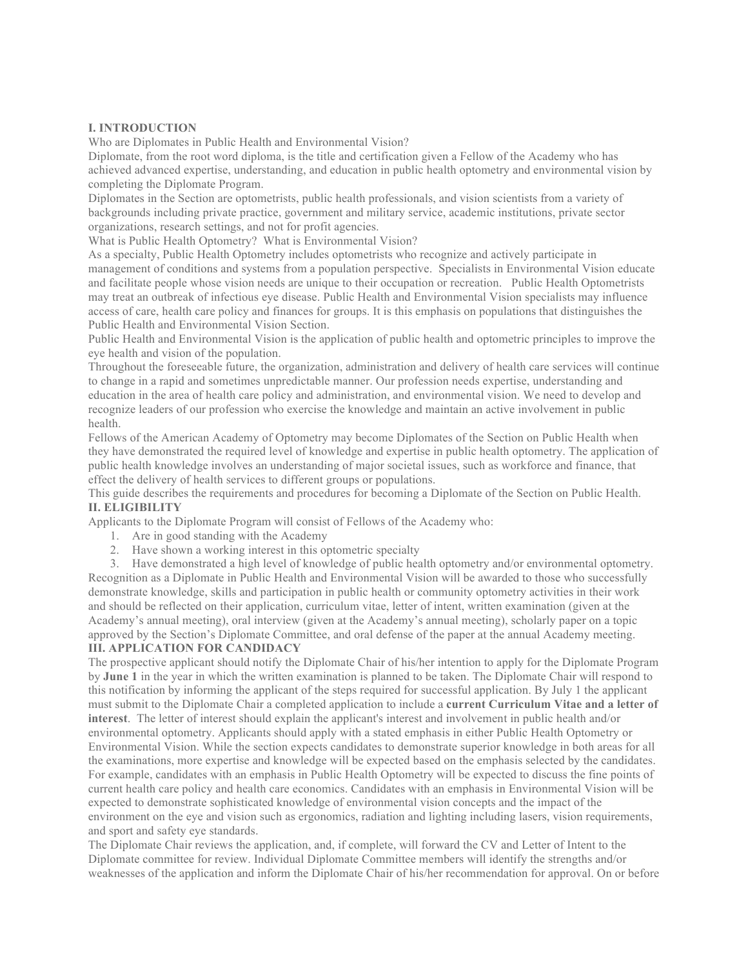#### **I. INTRODUCTION**

Who are Diplomates in Public Health and Environmental Vision?

Diplomate, from the root word diploma, is the title and certification given a Fellow of the Academy who has achieved advanced expertise, understanding, and education in public health optometry and environmental vision by completing the Diplomate Program.

Diplomates in the Section are optometrists, public health professionals, and vision scientists from a variety of backgrounds including private practice, government and military service, academic institutions, private sector organizations, research settings, and not for profit agencies.

What is Public Health Optometry? What is Environmental Vision?

As a specialty, Public Health Optometry includes optometrists who recognize and actively participate in management of conditions and systems from a population perspective. Specialists in Environmental Vision educate and facilitate people whose vision needs are unique to their occupation or recreation. Public Health Optometrists may treat an outbreak of infectious eye disease. Public Health and Environmental Vision specialists may influence access of care, health care policy and finances for groups. It is this emphasis on populations that distinguishes the Public Health and Environmental Vision Section.

Public Health and Environmental Vision is the application of public health and optometric principles to improve the eye health and vision of the population.

Throughout the foreseeable future, the organization, administration and delivery of health care services will continue to change in a rapid and sometimes unpredictable manner. Our profession needs expertise, understanding and education in the area of health care policy and administration, and environmental vision. We need to develop and recognize leaders of our profession who exercise the knowledge and maintain an active involvement in public health.

Fellows of the American Academy of Optometry may become Diplomates of the Section on Public Health when they have demonstrated the required level of knowledge and expertise in public health optometry. The application of public health knowledge involves an understanding of major societal issues, such as workforce and finance, that effect the delivery of health services to different groups or populations.

This guide describes the requirements and procedures for becoming a Diplomate of the Section on Public Health. **II. ELIGIBILITY**

Applicants to the Diplomate Program will consist of Fellows of the Academy who:

- 1. Are in good standing with the Academy
- 2. Have shown a working interest in this optometric specialty

3. Have demonstrated a high level of knowledge of public health optometry and/or environmental optometry. Recognition as a Diplomate in Public Health and Environmental Vision will be awarded to those who successfully demonstrate knowledge, skills and participation in public health or community optometry activities in their work and should be reflected on their application, curriculum vitae, letter of intent, written examination (given at the Academy's annual meeting), oral interview (given at the Academy's annual meeting), scholarly paper on a topic approved by the Section's Diplomate Committee, and oral defense of the paper at the annual Academy meeting. **III. APPLICATION FOR CANDIDACY**

The prospective applicant should notify the Diplomate Chair of his/her intention to apply for the Diplomate Program by **June 1** in the year in which the written examination is planned to be taken. The Diplomate Chair will respond to this notification by informing the applicant of the steps required for successful application. By July 1 the applicant must submit to the Diplomate Chair a completed application to include a **current Curriculum Vitae and a letter of interest**. The letter of interest should explain the applicant's interest and involvement in public health and/or environmental optometry. Applicants should apply with a stated emphasis in either Public Health Optometry or Environmental Vision. While the section expects candidates to demonstrate superior knowledge in both areas for all the examinations, more expertise and knowledge will be expected based on the emphasis selected by the candidates. For example, candidates with an emphasis in Public Health Optometry will be expected to discuss the fine points of current health care policy and health care economics. Candidates with an emphasis in Environmental Vision will be expected to demonstrate sophisticated knowledge of environmental vision concepts and the impact of the environment on the eye and vision such as ergonomics, radiation and lighting including lasers, vision requirements, and sport and safety eye standards.

The Diplomate Chair reviews the application, and, if complete, will forward the CV and Letter of Intent to the Diplomate committee for review. Individual Diplomate Committee members will identify the strengths and/or weaknesses of the application and inform the Diplomate Chair of his/her recommendation for approval. On or before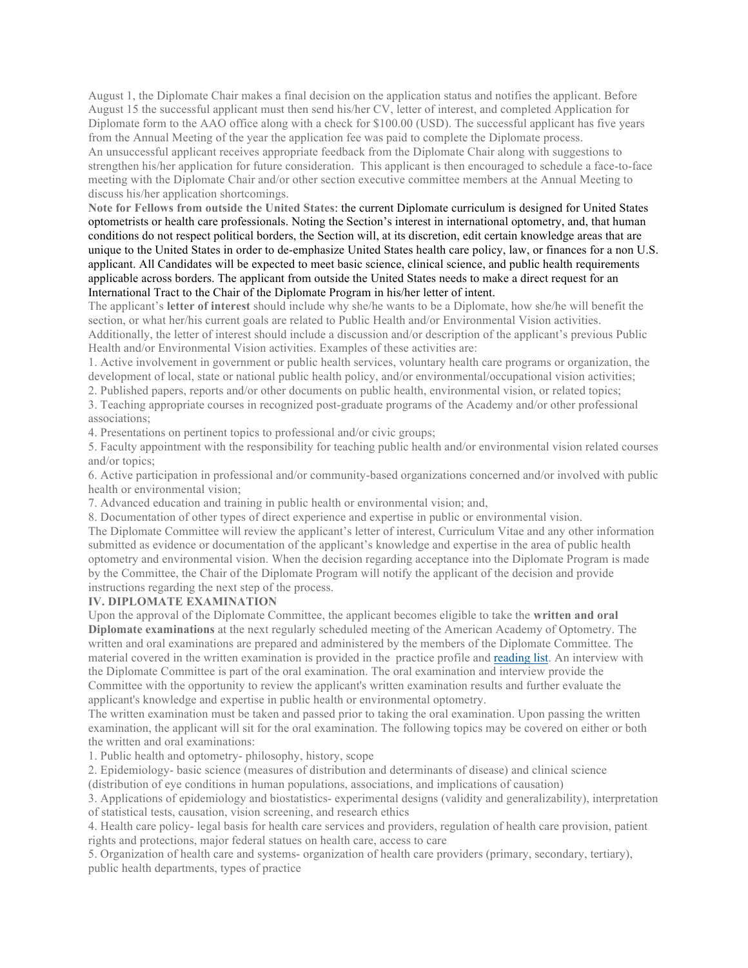August 1, the Diplomate Chair makes a final decision on the application status and notifies the applicant. Before August 15 the successful applicant must then send his/her CV, letter of interest, and completed Application for Diplomate form to the AAO office along with a check for \$100.00 (USD). The successful applicant has five years from the Annual Meeting of the year the application fee was paid to complete the Diplomate process. An unsuccessful applicant receives appropriate feedback from the Diplomate Chair along with suggestions to strengthen his/her application for future consideration. This applicant is then encouraged to schedule a face-to-face meeting with the Diplomate Chair and/or other section executive committee members at the Annual Meeting to discuss his/her application shortcomings.

**Note for Fellows from outside the United States**: the current Diplomate curriculum is designed for United States optometrists or health care professionals. Noting the Section's interest in international optometry, and, that human conditions do not respect political borders, the Section will, at its discretion, edit certain knowledge areas that are unique to the United States in order to de-emphasize United States health care policy, law, or finances for a non U.S. applicant. All Candidates will be expected to meet basic science, clinical science, and public health requirements applicable across borders. The applicant from outside the United States needs to make a direct request for an International Tract to the Chair of the Diplomate Program in his/her letter of intent.

The applicant's **letter of interest** should include why she/he wants to be a Diplomate, how she/he will benefit the section, or what her/his current goals are related to Public Health and/or Environmental Vision activities. Additionally, the letter of interest should include a discussion and/or description of the applicant's previous Public Health and/or Environmental Vision activities. Examples of these activities are:

1. Active involvement in government or public health services, voluntary health care programs or organization, the development of local, state or national public health policy, and/or environmental/occupational vision activities;

2. Published papers, reports and/or other documents on public health, environmental vision, or related topics;

3. Teaching appropriate courses in recognized post-graduate programs of the Academy and/or other professional associations;

4. Presentations on pertinent topics to professional and/or civic groups;

5. Faculty appointment with the responsibility for teaching public health and/or environmental vision related courses and/or topics;

6. Active participation in professional and/or community-based organizations concerned and/or involved with public health or environmental vision;

7. Advanced education and training in public health or environmental vision; and,

8. Documentation of other types of direct experience and expertise in public or environmental vision. The Diplomate Committee will review the applicant's letter of interest, Curriculum Vitae and any other information

submitted as evidence or documentation of the applicant's knowledge and expertise in the area of public health optometry and environmental vision. When the decision regarding acceptance into the Diplomate Program is made by the Committee, the Chair of the Diplomate Program will notify the applicant of the decision and provide instructions regarding the next step of the process.

#### **IV. DIPLOMATE EXAMINATION**

Upon the approval of the Diplomate Committee, the applicant becomes eligible to take the **written and oral Diplomate examinations** at the next regularly scheduled meeting of the American Academy of Optometry. The written and oral examinations are prepared and administered by the members of the Diplomate Committee. The material covered in the written examination is provided in the practice profile and reading list. An interview with the Diplomate Committee is part of the oral examination. The oral examination and interview provide the Committee with the opportunity to review the applicant's written examination results and further evaluate the applicant's knowledge and expertise in public health or environmental optometry.

The written examination must be taken and passed prior to taking the oral examination. Upon passing the written examination, the applicant will sit for the oral examination. The following topics may be covered on either or both the written and oral examinations:

1. Public health and optometry- philosophy, history, scope

2. Epidemiology- basic science (measures of distribution and determinants of disease) and clinical science (distribution of eye conditions in human populations, associations, and implications of causation)

3. Applications of epidemiology and biostatistics- experimental designs (validity and generalizability), interpretation

of statistical tests, causation, vision screening, and research ethics

4. Health care policy- legal basis for health care services and providers, regulation of health care provision, patient rights and protections, major federal statues on health care, access to care

5. Organization of health care and systems- organization of health care providers (primary, secondary, tertiary), public health departments, types of practice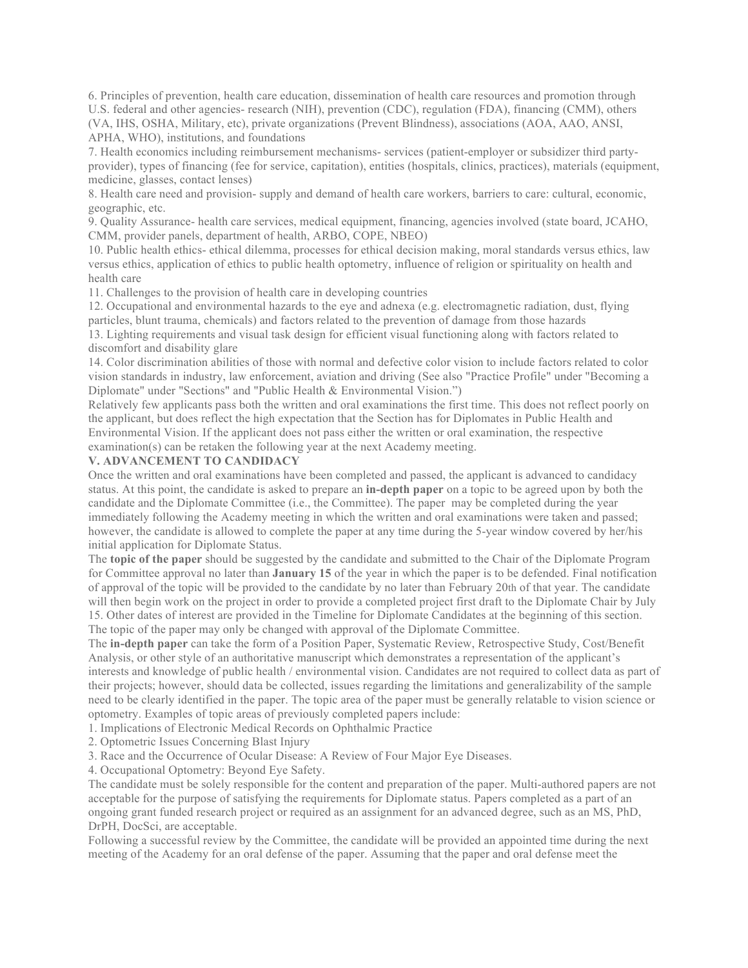6. Principles of prevention, health care education, dissemination of health care resources and promotion through U.S. federal and other agencies- research (NIH), prevention (CDC), regulation (FDA), financing (CMM), others (VA, IHS, OSHA, Military, etc), private organizations (Prevent Blindness), associations (AOA, AAO, ANSI, APHA, WHO), institutions, and foundations

7. Health economics including reimbursement mechanisms- services (patient-employer or subsidizer third partyprovider), types of financing (fee for service, capitation), entities (hospitals, clinics, practices), materials (equipment, medicine, glasses, contact lenses)

8. Health care need and provision- supply and demand of health care workers, barriers to care: cultural, economic, geographic, etc.

9. Quality Assurance- health care services, medical equipment, financing, agencies involved (state board, JCAHO, CMM, provider panels, department of health, ARBO, COPE, NBEO)

10. Public health ethics- ethical dilemma, processes for ethical decision making, moral standards versus ethics, law versus ethics, application of ethics to public health optometry, influence of religion or spirituality on health and health care

11. Challenges to the provision of health care in developing countries

12. Occupational and environmental hazards to the eye and adnexa (e.g. electromagnetic radiation, dust, flying particles, blunt trauma, chemicals) and factors related to the prevention of damage from those hazards

13. Lighting requirements and visual task design for efficient visual functioning along with factors related to discomfort and disability glare

14. Color discrimination abilities of those with normal and defective color vision to include factors related to color vision standards in industry, law enforcement, aviation and driving (See also "Practice Profile" under "Becoming a Diplomate" under "Sections" and "Public Health & Environmental Vision.")

Relatively few applicants pass both the written and oral examinations the first time. This does not reflect poorly on the applicant, but does reflect the high expectation that the Section has for Diplomates in Public Health and Environmental Vision. If the applicant does not pass either the written or oral examination, the respective

examination(s) can be retaken the following year at the next Academy meeting.

#### **V. ADVANCEMENT TO CANDIDACY**

Once the written and oral examinations have been completed and passed, the applicant is advanced to candidacy status. At this point, the candidate is asked to prepare an **in-depth paper** on a topic to be agreed upon by both the candidate and the Diplomate Committee (i.e., the Committee). The paper may be completed during the year immediately following the Academy meeting in which the written and oral examinations were taken and passed; however, the candidate is allowed to complete the paper at any time during the 5-year window covered by her/his initial application for Diplomate Status.

The **topic of the paper** should be suggested by the candidate and submitted to the Chair of the Diplomate Program for Committee approval no later than **January 15** of the year in which the paper is to be defended. Final notification of approval of the topic will be provided to the candidate by no later than February 20th of that year. The candidate will then begin work on the project in order to provide a completed project first draft to the Diplomate Chair by July 15. Other dates of interest are provided in the Timeline for Diplomate Candidates at the beginning of this section. The topic of the paper may only be changed with approval of the Diplomate Committee.

The **in-depth paper** can take the form of a Position Paper, Systematic Review, Retrospective Study, Cost/Benefit Analysis, or other style of an authoritative manuscript which demonstrates a representation of the applicant's interests and knowledge of public health / environmental vision. Candidates are not required to collect data as part of their projects; however, should data be collected, issues regarding the limitations and generalizability of the sample need to be clearly identified in the paper. The topic area of the paper must be generally relatable to vision science or optometry. Examples of topic areas of previously completed papers include:

1. Implications of Electronic Medical Records on Ophthalmic Practice

2. Optometric Issues Concerning Blast Injury

3. Race and the Occurrence of Ocular Disease: A Review of Four Major Eye Diseases.

4. Occupational Optometry: Beyond Eye Safety.

The candidate must be solely responsible for the content and preparation of the paper. Multi-authored papers are not acceptable for the purpose of satisfying the requirements for Diplomate status. Papers completed as a part of an ongoing grant funded research project or required as an assignment for an advanced degree, such as an MS, PhD, DrPH, DocSci, are acceptable.

Following a successful review by the Committee, the candidate will be provided an appointed time during the next meeting of the Academy for an oral defense of the paper. Assuming that the paper and oral defense meet the